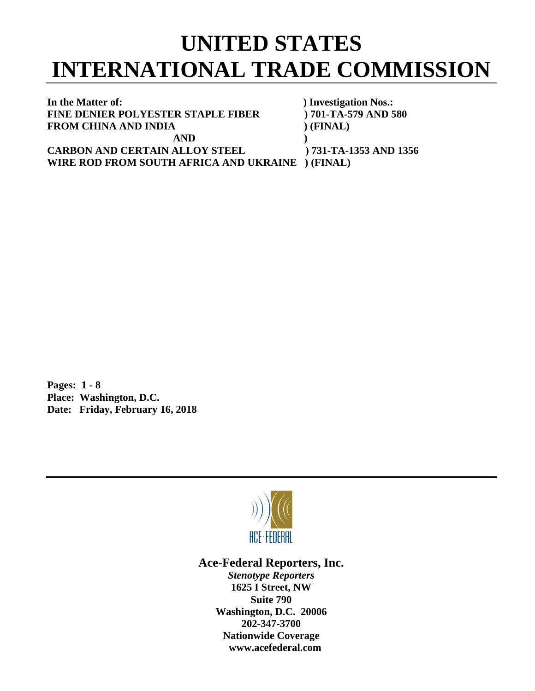## **UNITED STATES INTERNATIONAL TRADE COMMISSION**

**In the Matter of: ) Investigation Nos.: FINE DENIER POLYESTER STAPLE FIBER ) 701-TA-579 AND 580 FROM CHINA AND INDIA** (FINAL) **AND ) CARBON AND CERTAIN ALLOY STEEL ) 731-TA-1353 AND 1356**

**WIRE ROD FROM SOUTH AFRICA AND UKRAINE ) (FINAL)**

**Pages: 1 - 8 Place: Washington, D.C. Date: Friday, February 16, 2018**



**Ace-Federal Reporters, Inc.**

*Stenotype Reporters* **1625 I Street, NW Suite 790 Washington, D.C. 20006 202-347-3700 Nationwide Coverage www.acefederal.com**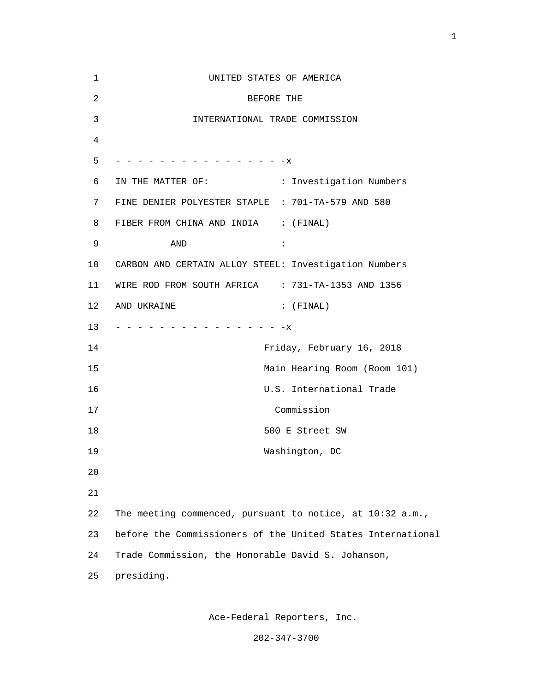| 1              | UNITED STATES OF AMERICA                                    |
|----------------|-------------------------------------------------------------|
| $\overline{a}$ | BEFORE THE                                                  |
| 3              | INTERNATIONAL TRADE COMMISSION                              |
| 4              |                                                             |
| 5              | - - - - - - - - - - - - - - - X                             |
| 6              | IN THE MATTER OF: : : Investigation Numbers                 |
| 7              | FINE DENIER POLYESTER STAPLE : 701-TA-579 AND 580           |
| 8              | FIBER FROM CHINA AND INDIA : (FINAL)                        |
| 9              | $\ddot{\cdot}$<br>AND                                       |
| 10             | CARBON AND CERTAIN ALLOY STEEL: Investigation Numbers       |
| 11             | WIRE ROD FROM SOUTH AFRICA : 731-TA-1353 AND 1356           |
| 12             | AND UKRAINE<br>$:$ (FINAL)                                  |
| 13             | - - - - - - - - - - - - - - - X                             |
| 14             | Friday, February 16, 2018                                   |
| 15             | Main Hearing Room (Room 101)                                |
| 16             | U.S. International Trade                                    |
| 17             | Commission                                                  |
| 18             | 500 E Street SW                                             |
| 19             | Washington, DC                                              |
| 20             |                                                             |
| 21             |                                                             |
| 22             | The meeting commenced, pursuant to notice, at 10:32 a.m.,   |
| 23             | before the Commissioners of the United States International |
| 24             | Trade Commission, the Honorable David S. Johanson,          |
| 25             | presiding.                                                  |

Ace-Federal Reporters, Inc.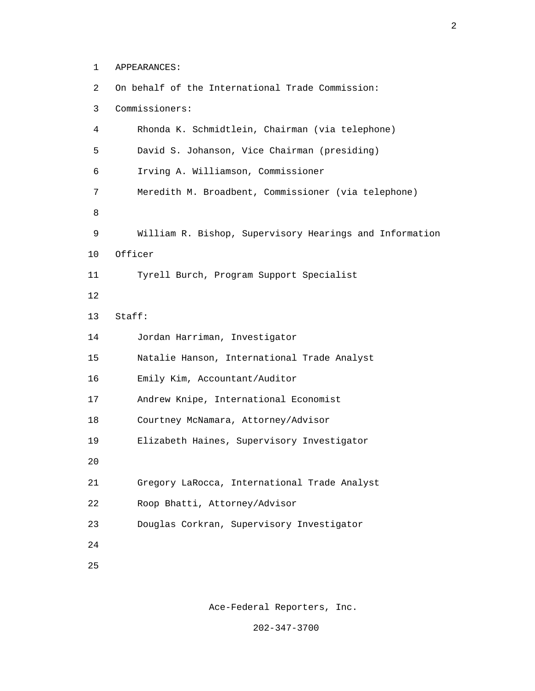1 APPEARANCES:

 2 On behalf of the International Trade Commission: 3 Commissioners: 4 Rhonda K. Schmidtlein, Chairman (via telephone) 5 David S. Johanson, Vice Chairman (presiding) 6 Irving A. Williamson, Commissioner 7 Meredith M. Broadbent, Commissioner (via telephone) e a seu a constantin de la Barca de la Barca de la Barca de la Barca de la Barca de la Barca de la Barca de la 9 William R. Bishop, Supervisory Hearings and Information 10 Officer 11 Tyrell Burch, Program Support Specialist 12 13 Staff: 14 Jordan Harriman, Investigator 15 Natalie Hanson, International Trade Analyst 16 Emily Kim, Accountant/Auditor 17 Andrew Knipe, International Economist 18 Courtney McNamara, Attorney/Advisor 19 Elizabeth Haines, Supervisory Investigator 20 21 Gregory LaRocca, International Trade Analyst 22 Roop Bhatti, Attorney/Advisor 23 Douglas Corkran, Supervisory Investigator 24 <u>25</u>

Ace-Federal Reporters, Inc.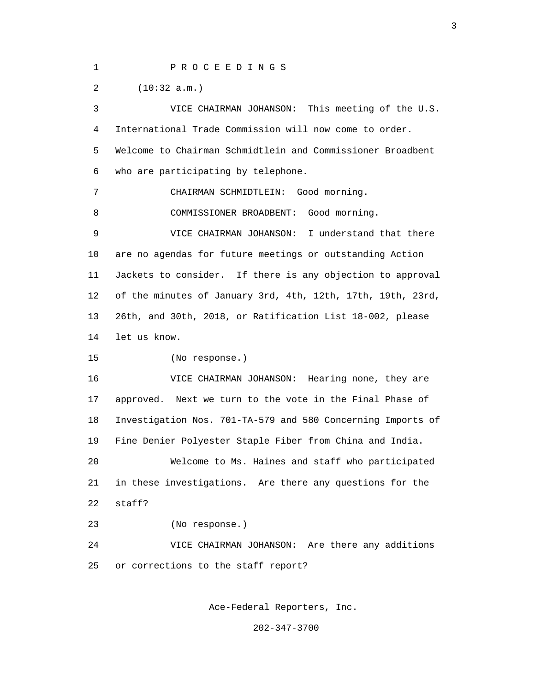1 P R O C E E D I N G S

2 (10:32 a.m.)

 3 VICE CHAIRMAN JOHANSON: This meeting of the U.S. 4 International Trade Commission will now come to order. 5 Welcome to Chairman Schmidtlein and Commissioner Broadbent 6 who are participating by telephone. 7 CHAIRMAN SCHMIDTLEIN: Good morning. 8 COMMISSIONER BROADBENT: Good morning. 9 VICE CHAIRMAN JOHANSON: I understand that there 10 are no agendas for future meetings or outstanding Action 11 Jackets to consider. If there is any objection to approval 12 of the minutes of January 3rd, 4th, 12th, 17th, 19th, 23rd, 13 26th, and 30th, 2018, or Ratification List 18-002, please 14 let us know. 15 (No response.) 16 VICE CHAIRMAN JOHANSON: Hearing none, they are 17 approved. Next we turn to the vote in the Final Phase of 18 Investigation Nos. 701-TA-579 and 580 Concerning Imports of 19 Fine Denier Polyester Staple Fiber from China and India. 20 Welcome to Ms. Haines and staff who participated 21 in these investigations. Are there any questions for the 22 staff? 23 (No response.) 24 VICE CHAIRMAN JOHANSON: Are there any additions 25 or corrections to the staff report?

Ace-Federal Reporters, Inc.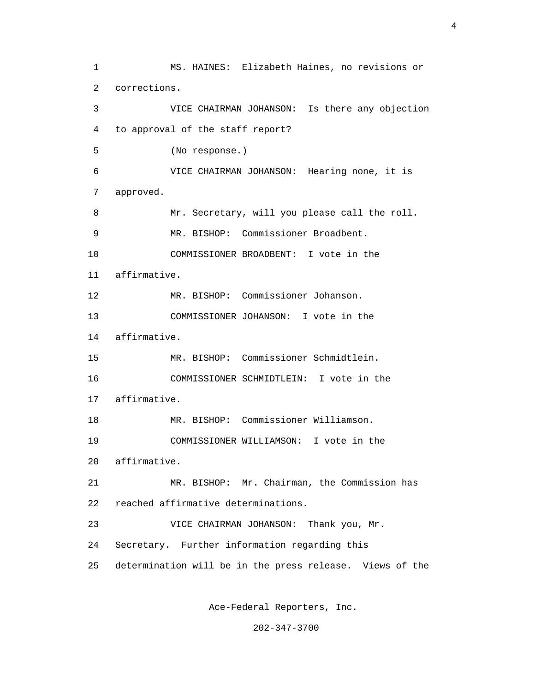1 MS. HAINES: Elizabeth Haines, no revisions or 2 corrections. 3 VICE CHAIRMAN JOHANSON: Is there any objection 4 to approval of the staff report? 5 (No response.) 6 VICE CHAIRMAN JOHANSON: Hearing none, it is 7 approved. 8 Mr. Secretary, will you please call the roll. 9 MR. BISHOP: Commissioner Broadbent. 10 COMMISSIONER BROADBENT: I vote in the 11 affirmative. 12 MR. BISHOP: Commissioner Johanson. 13 COMMISSIONER JOHANSON: I vote in the 14 affirmative. 15 MR. BISHOP: Commissioner Schmidtlein. 16 COMMISSIONER SCHMIDTLEIN: I vote in the 17 affirmative. 18 MR. BISHOP: Commissioner Williamson. 19 COMMISSIONER WILLIAMSON: I vote in the 20 affirmative. 21 MR. BISHOP: Mr. Chairman, the Commission has 22 reached affirmative determinations. 23 VICE CHAIRMAN JOHANSON: Thank you, Mr. 24 Secretary. Further information regarding this 25 determination will be in the press release. Views of the

Ace-Federal Reporters, Inc.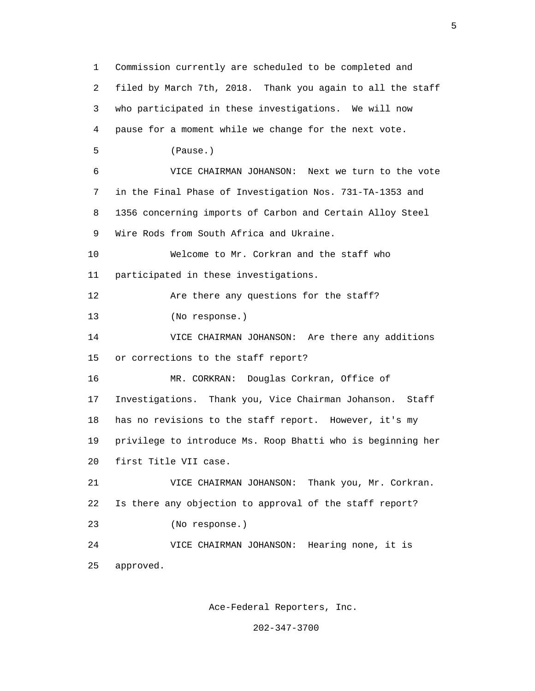1 Commission currently are scheduled to be completed and 2 filed by March 7th, 2018. Thank you again to all the staff 3 who participated in these investigations. We will now 4 pause for a moment while we change for the next vote. 5 (Pause.) 6 VICE CHAIRMAN JOHANSON: Next we turn to the vote 7 in the Final Phase of Investigation Nos. 731-TA-1353 and 8 1356 concerning imports of Carbon and Certain Alloy Steel 9 Wire Rods from South Africa and Ukraine. 10 Welcome to Mr. Corkran and the staff who 11 participated in these investigations. 12 Are there any questions for the staff? 13 (No response.) 14 VICE CHAIRMAN JOHANSON: Are there any additions 15 or corrections to the staff report? 16 MR. CORKRAN: Douglas Corkran, Office of 17 Investigations. Thank you, Vice Chairman Johanson. Staff 18 has no revisions to the staff report. However, it's my 19 privilege to introduce Ms. Roop Bhatti who is beginning her 20 first Title VII case. 21 VICE CHAIRMAN JOHANSON: Thank you, Mr. Corkran. 22 Is there any objection to approval of the staff report? 23 (No response.) 24 VICE CHAIRMAN JOHANSON: Hearing none, it is 25 approved.

Ace-Federal Reporters, Inc.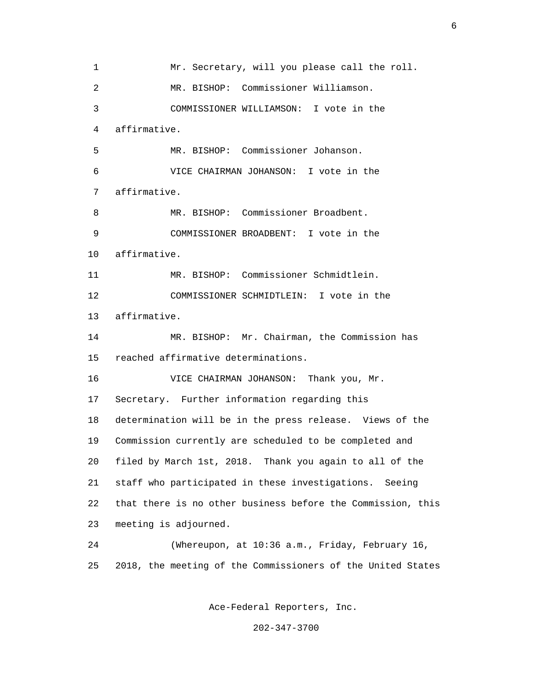1 Mr. Secretary, will you please call the roll. 2 MR. BISHOP: Commissioner Williamson. 3 COMMISSIONER WILLIAMSON: I vote in the 4 affirmative. 5 MR. BISHOP: Commissioner Johanson. 6 VICE CHAIRMAN JOHANSON: I vote in the 7 affirmative. 8 MR. BISHOP: Commissioner Broadbent. 9 COMMISSIONER BROADBENT: I vote in the 10 affirmative. 11 MR. BISHOP: Commissioner Schmidtlein. 12 COMMISSIONER SCHMIDTLEIN: I vote in the 13 affirmative. 14 MR. BISHOP: Mr. Chairman, the Commission has 15 reached affirmative determinations. 16 VICE CHAIRMAN JOHANSON: Thank you, Mr. 17 Secretary. Further information regarding this 18 determination will be in the press release. Views of the 19 Commission currently are scheduled to be completed and 20 filed by March 1st, 2018. Thank you again to all of the 21 staff who participated in these investigations. Seeing 22 that there is no other business before the Commission, this 23 meeting is adjourned. 24 (Whereupon, at 10:36 a.m., Friday, February 16, 25 2018, the meeting of the Commissioners of the United States

Ace-Federal Reporters, Inc.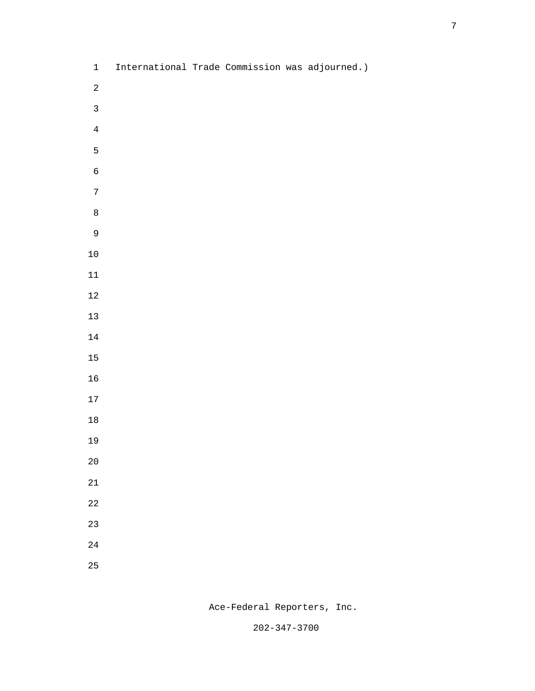- 1 International Trade Commission was adjourned.) 5 (1992) 1994 (1995) 1995 (1996) 1997 (1998) 1997 (1998) 1997 (1998) 1997 (1998) 1997 (1998) 1997 (1998) 1997 (<br>1997 (1998) 1998 (1999) 1998 (1999) 1998 (1999) 1998 (1999) 1998 (1999) 1998 (1999) 1998 (1999) 1998 (1999) 1<br> e a seu a constantin de la Barca de la Barca de la Barca de la Barca de la Barca de la Barca de la Barca de la
	-
	-
	-
	-
	-
	-
	-
	-

Ace-Federal Reporters, Inc.